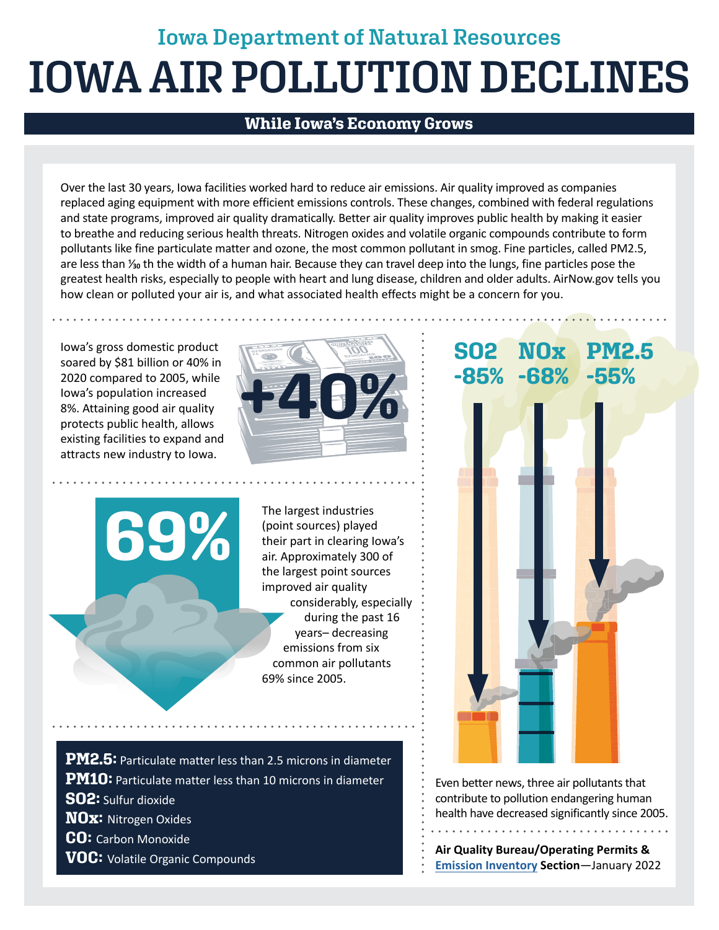## **Iowa Department of Natural Resources IOWA AIR POLLUTION DECLINES**

## **While Iowa's Economy Grows**

Over the last 30 years, Iowa facilities worked hard to reduce air emissions. Air quality improved as companies replaced aging equipment with more efficient emissions controls. These changes, combined with federal regulations and state programs, improved air quality dramatically. Better air quality improves public health by making it easier to breathe and reducing serious health threats. Nitrogen oxides and volatile organic compounds contribute to form pollutants like fine particulate matter and ozone, the most common pollutant in smog. Fine particles, called PM2.5, are less than <sup>y</sup><sub>30</sub> th the width of a human hair. Because they can travel deep into the lungs, fine particles pose the greatest health risks, especially to people with heart and lung disease, children and older adults. [AirNow.gov](https://AirNow.gov) tells you how clean or polluted your air is, and what associated health effects might be a concern for you.

Iowa's gross domestic product soared by \$81 billion or 40% in 2020 compared to 2005, while Iowa's population increased 8%. Attaining good air quality protects public health, allows existing facilities to expand and attracts new industry to Iowa.

**69%** 



The largest industries (point sources) played their part in clearing Iowa's air. Approximately 300 of the largest point sources improved air quality considerably, especially during the past 16 years– decreasing emissions from six common air pollutants 69% since 2005.

**PM2.5:** Particulate matter less than 2.5 microns in diameter **PM10**: Particulate matter less than 10 microns in diameter Even better news, three air pollutants that **SO2:** Sulfur dioxide **NOx:** Nitrogen Oxides **CO:** Carbon Monoxide **VOC:** Volatile Organic Compounds **Air Quality Bureau/Operating Permits & Air Quality Bureau/Operating Permits &** 

## **SO2 -85% NOx -68% PM2.5 -85% -68% -55%**

contribute to pollution endangering human health have decreased significantly since 2005. . . . . . . . . . . . . . . . . . .

**[Emission Inventory](https://www.iowadnr.gov/Environmental-Protection/Air-Quality) Section**—January 2022